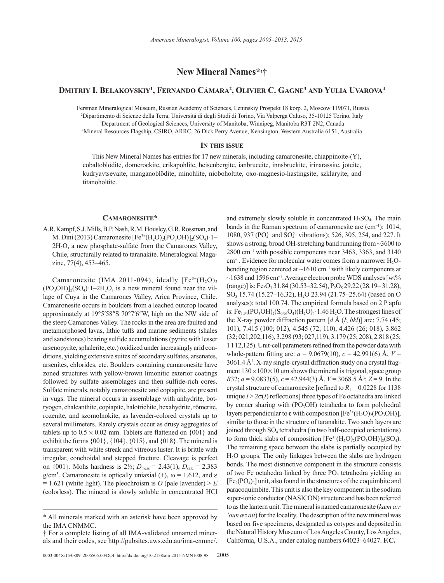**New Mineral Names\*, †**

# **Dmitriy I. Belakovskiy1 , Fernando Cámara2 , Olivier C. Gagne3 and Yulia Uvarova4**

1 Fersman Mineralogical Museum, Russian Academy of Sciences, Leninskiy Prospekt 18 korp. 2, Moscow 119071, Russia 2 Dipartimento di Scienze della Terra, Universitá di degli Studi di Torino, Via Valperga Caluso, 35-10125 Torino, Italy 3 Department of Geological Sciences, University of Manitoba, Winnipeg, Manitoba R3T 2N2, Canada

4 Mineral Resources Flagship, CSIRO, ARRC, 26 Dick Perry Avenue, Kensington, Western Australia 6151, Australia

# **In this issue**

This New Mineral Names has entries for 17 new minerals, including camaronesite, chiappinoite-(Y), cobaltoblödite, domerockite, erikapohlite, heisenbergite, ianbruceite, innsbruckite, irinarassite, joteite, kudryavtsevaite, manganoblödite, minohlite, nioboholtite, oxo-magnesio-hastingsite, szklaryite, and titanoholtite.

#### **Camaronesite\***

A.R. Kampf, S.J. Mills, B.P. Nash, R.M. Housley, G.R. Rossman, and M. Dini (2013) Camaronesite  $[Fe^{3+}(H_2O)_2(PO_3OH)]_2(SO_4)$  1– 2H2O, a new phosphate-sulfate from the Camarones Valley, Chile, structurally related to taranakite. Mineralogical Magazine, 77(4), 453–465.

Camaronesite (IMA 2011-094), ideally  $[Fe^{3+}(H_2O)_2]$  $(PO_3OH)_{2}(SO_4)$  1–2H<sub>2</sub>O, is a new mineral found near the village of Cuya in the Camarones Valley, Arica Province, Chile. Camaronesite occurs in boulders from a leached outcrop located approximately at 19°5′58″S 70°7′6″W, high on the NW side of the steep Camarones Valley. The rocks in the area are faulted and metamorphosed lavas, lithic tuffs and marine sediments (shales and sandstones) bearing sulfide accumulations (pyrite with lesser arsenopyrite, sphalerite, etc.) oxidized under increasingly arid conditions, yielding extensive suites of secondary sulfates, arsenates, arsenites, chlorides, etc. Boulders containing camaronesite have zoned structures with yellow-brown limonitic exterior coatings followed by sulfate assemblages and then sulfide-rich cores. Sulfate minerals, notably camaronesite and copiapite, are present in vugs. The mineral occurs in assemblage with anhydrite, botryogen, chalcanthite, copiapite, halotrichite, hexahydrite, römerite, rozenite, and szomolnokite, as lavender-colored crystals up to several millimeters. Rarely crystals occur as drusy aggregates of tablets up to  $0.5 \times 0.02$  mm. Tablets are flattened on  $\{001\}$  and exhibit the forms {001}, {104}, {015}, and {018}. The mineral is transparent with white streak and vitreous luster. It is brittle with irregular, conchoidal and stepped fracture. Cleavage is perfect on  $\{001\}$ . Mohs hardness is  $2\frac{1}{2}$ ;  $D_{\text{meas}} = 2.43(1)$ ,  $D_{\text{calc}} = 2.383$ g/cm<sup>3</sup>. Camaronesite is optically uniaxial (+),  $\omega$  = 1.612, and  $\varepsilon$  $= 1.621$  (white light). The pleochroism is *O* (pale lavender)  $> E$ (colorless). The mineral is slowly soluble in concentrated HCl

and extremely slowly soluble in concentrated  $H_2SO_4$ . The main bands in the Raman spectrum of camaronesite are  $(cm<sup>-1</sup>)$ : 1014, 1080, 937 (PO<sub>4</sub><sup>2</sup> and SO<sub>4</sub><sup>2</sup> vibrations); 526, 305, 254, and 227. It shows a strong, broad OH-stretching band running from ~3600 to 2800 cm–1 with possible components near 3463, 3363, and 3140  $cm^{-1}$ . Evidence for molecular water comes from a narrower  $H_2O$ bending region centered at  $\sim$ 1610 cm<sup>-1</sup> with likely components at  $\sim$ 1638 and 1596 cm<sup>-1</sup>. Average electron probe WDS analyses [wt%]  $(\text{range})$ ] is: Fe<sub>2</sub>O<sub>3</sub> 31.84 (30.53–32.54), P<sub>2</sub>O<sub>5</sub> 29.22 (28.19–31.28), SO<sub>3</sub> 15.74 (15.27–16.32), H<sub>2</sub>O 23.94 (21.75–25.64) (based on O analyses); total 100.74. The empirical formula based on 2 P apfu is:  $Fe_{1.94}(PO_3OH)_{2}(S_{0.96}O_{4})(H_2O)_{4}$  1.46  $H_2O$ . The strongest lines of the X-ray powder diffraction pattern [*d* Å (*I*; *hkl*)] are: 7.74 (45; 101), 7.415 (100; 012), 4.545 (72; 110), 4.426 (26; 018), 3.862 (32; 021,202,116), 3.298 (93; 027,119), 3.179 (25; 208), 2.818 (25; 1112,125). Unit-cell parameters refined from the powder data with whole-pattern fitting are:  $a = 9.0679(10)$ ,  $c = 42.991(6)$  Å,  $V =$ 3061.4 Å3 . X-ray single-crystal diffraction study on a crystal fragment  $130 \times 100 \times 10$  μm shows the mineral is trigonal, space group *R*32; *a* = 9.0833(5), *c* = 42.944(3) Å, *V* = 3068.5 Å3 ; *Z* = 9. In the crystal structure of camaronesite [refined to  $R_1 = 0.0228$  for 1138 unique  $I > 2\sigma(I)$  reflections] three types of Fe octahedra are linked by corner sharing with (PO<sub>3</sub>OH) tetrahedra to form polyhedral layers perpendicular to **c** with composition  $[Fe^{3+}(H_2O)_2(PO_3OH)]$ , similar to those in the structure of taranakite. Two such layers are joined through SO<sub>4</sub> tetrahedra (in two half-occupied orientations) to form thick slabs of composition  $[Fe^{3+}(H_2O)_2(PO_3OH)]_2(SO_4)$ . The remaining space between the slabs is partially occupied by H2O groups. The only linkages between the slabs are hydrogen bonds. The most distinctive component in the structure consists of two Fe octahedra linked by three  $PO<sub>4</sub>$  tetrahedra yielding an  $[Fe<sub>2</sub>(PO<sub>4</sub>)<sub>3</sub>]$  unit, also found in the structures of the coquimbite and paracoquimbite. This unit is also the key component in the sodium super-ionic conductor (NASICON) structure and has been referred to as the lantern unit. The mineral is named camaronesite (*kæm a:r 'oun æz ait*) for the locality. The description of the new mineral was based on five specimens, designated as cotypes and deposited in the Natural History Museum of Los Angeles County, Los Angeles, California, U.S.A., under catalog numbers 64023–64027. **F.C.**

<sup>\*</sup> All minerals marked with an asterisk have been approved by the IMA CNMMC.

<sup>†</sup> For a complete listing of all IMA-validated unnamed minerals and their codes, see http://pubsites.uws.edu.au/ima-cnmnc/.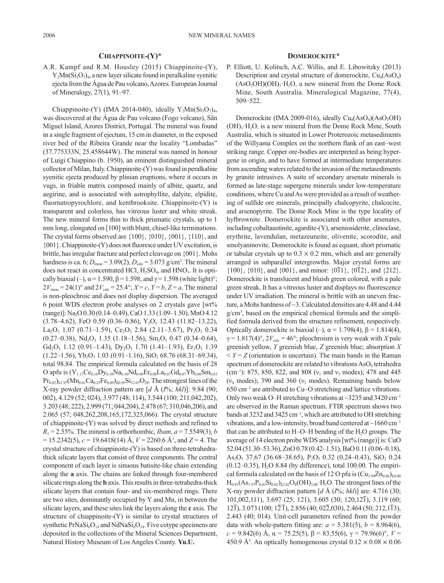## **Chiappinoite-(Y)\***

A.R. Kampf and R.M. Housley (2015) Chiappinoite-(Y),  $Y_2Mn(Si_3O_7)_4$ , a new layer silicate found in peralkaline syenitic ejecta from the Água de Pau volcano, Azores. European Journal of Mineralogy, 27(1), 91–97.

Chiappinoite-(Y) (IMA 2014-040), ideally  $Y_2Mn(Si_3O_7)_4$ , was discovered at the Água de Pau volcano (Fogo volcano), Sãn Miguel Island, Azores District, Portugal. The mineral was found in a single fragment of ejectum, 15 cm in diameter, in the exposed river bed of the Ribeira Grande near the locality "Lombadas" (37.775333N, 25.458644W). The mineral was named in honour of Luigi Chiappino (b. 1950), an eminent distinguished mineral collector of Milan, Italy. Chiappinoite-(Y) was found in peralkaline syenitic ejecta produced by plinian eruptions, where it occurs in vugs, in friable matrix composed mainly of albite, quartz, and aegirine, and is associated with astrophyllite, dalyite, elpidite, fluornatropyrochlore, and kentbrooksite. Chiappinoite-(Y) is transparent and colorless, has vitreous luster and white streak. The new mineral forms thin to thick prismatic crystals, up to 1 mm long, elongated on [100] with blunt, chisel-like terminations. The crystal forms observed are {100}, {010}, {001}, {110}, and {001}. Chiappinoite-(Y) does not fluoresce under UV excitation, is brittle, has irregular fracture and perfect cleavage on {001}. Mohs hardness is ca. 6;  $D_{\text{meas}} = 3.09(2)$ ,  $D_{\text{calc}} = 3.073$  g/cm<sup>3</sup>. The mineral does not react in concentrated HCl,  $H_2SO_4$ , and HNO<sub>3</sub>. It is optically biaxial (–),  $\alpha$  = 1.590,  $\beta$  = 1.598, and  $\gamma$  = 1.598 (white light)°;  $2V_{\text{meas}} = 24(1)$ ° and  $2V_{\text{calc}} = 25.4$ °;  $X = c$ ,  $Y = b$ ,  $Z = a$ . The mineral is non-pleochroic and does not display dispersion. The averaged 6 point WDS electron probe analyses on 2 crystals gave [wt% (range)]: Na2O 0.30 (0.14–0.49), CaO 1.33 (1.09–1.50), MnO 4.12  $(3.78-4.62)$ , FeO 0.59  $(0.36-0.86)$ , Y<sub>2</sub>O<sub>3</sub> 12.43  $(11.82-13.22)$ ,  $La_2O_3$  1.07 (0.71–1.59), Ce<sub>2</sub>O<sub>3</sub> 2.84 (2.11–3.67), Pr<sub>2</sub>O<sub>3</sub> 0.34  $(0.27-0.38)$ , Nd<sub>2</sub>O<sub>3</sub> 1.35 (1.18–1.56), Sm<sub>2</sub>O<sub>3</sub> 0.47 (0.34–0.64), Gd<sub>2</sub>O<sub>3</sub> 1.12 (0.91–1.43), D<sub>y<sub>2</sub>O<sub>3</sub> 1.70 (1.41–1.93), Er<sub>2</sub>O<sub>3</sub> 1.39</sub>  $(1.22-1.56)$ , Yb<sub>2</sub>O<sub>3</sub> 1.03  $(0.91-1.16)$ , SiO<sub>2</sub> 68.76  $(68.31-69.34)$ , total 98.84. The empirical formula calculated on the basis of 28 O apfu is  $(Y_{1.17}Ce_{0.18}Dy_{0.10}Na_{0.10}Nd_{0.09}Er_{0.08}La_{0.07}Gd_{0.07}Yb_{0.06}Sm_{0.03}$  $Pr_{0.02}$ <sub>21.97</sub>(Mn<sub>0.61</sub>Ca<sub>0.25</sub>Fe<sub>0.09</sub>)<sub>20.95</sub>Si<sub>12.07</sub>O<sub>28</sub>. The strongest lines of the X-ray powder diffraction pattern are [*d* Å (*I*%; *hkl*)]: 9.84 (90; 002), 4.129 (52; 024), 3.977 (48; 114), 3.544 (100; 211,042,202), 3.203 (48; 222), 2.999 (71; 044,204), 2.478 (67; 310,046,206), and 2.065 (57; 048,262,208,165,172,325,066). The crystal structure of chiappinoite-(Y) was solved by direct methods and refined to  $R_1 = 2.55\%$ . The mineral is orthorhombic, *Ibam*,  $a = 7.5549(3)$ , *b* = 15.2342(5), *c* = 19.6418(14) Å, *V* = 2260.6 Å3 , and *Z* = 4. The crystal structure of chiappinoite-(Y) is based on three-tetrahedrathick silicate layers that consist of three components. The central component of each layer is sinuous batisite-like chain extending along the **a** axis. The chains are linked through four-membered silicate rings along the **b** axis. This results in three-tetrahedra-thick silicate layers that contain four- and six-membered rings. There are two sites, dominantly occupied by Y and Mn, in between the silicate layers, and these sites link the layers along the **c** axis. The structure of chiappinoite-(Y) is similar to crystal structures of synthetic PrNa $Si_6O_{14}$  and NdNa $Si_6O_{14}$ . Five cotype specimens are deposited in the collections of the Mineral Sciences Department, Natural History Museum of Los Angeles County. **Yu.U.**

#### **Domerockite\***

P. Elliott, U. Kolitsch, A.C. Willis, and E. Libowitzky (2013) Description and crystal structure of domerockite,  $Cu<sub>4</sub>(AsO<sub>4</sub>)$  $(AsO<sub>3</sub>OH)(OH)<sub>3</sub>·H<sub>2</sub>O$ , a new mineral from the Dome Rock Mine, South Australia. Mineralogical Magazine, 77(4), 509–522.

Domerockite (IMA 2009-016), ideally  $Cu<sub>4</sub>(AsO<sub>4</sub>)(AsO<sub>3</sub>OH)$  $(OH)$ <sub>3</sub> H<sub>2</sub>O, is a new mineral from the Dome Rock Mine, South Australia, which is situated in Lower Proterozoic metasediments of the Willyama Complex on the northern flank of an east–west striking range. Copper ore-bodies are interpreted as being hypergene in origin, and to have formed at intermediate temperatures from ascending waters related to the invasion of the metasediments by granite intrusives. A suite of secondary arsenate minerals is formed as late-stage supergene minerals under low-temperature conditions, where Cu and As were provided as a result of weathering of sulfide ore minerals, principally chalcopyrite, chalcocite, and arsenopyrite. The Dome Rock Mine is the type locality of hylbrownite. Domerockite is associated with other arsenates, including cobaltaustinite, agardite-(Y), arseniosiderite, clinoclase, erythrite, lavendulan, metazeuneite, olivenite, scorodite, and smolyaninovite. Domerockite is found as equant, short prismatic or tabular crystals up to  $0.3 \times 0.2$  mm, which and are generally arranged in subparallel intergrowths. Major crystal forms are  $\{100\}$ ,  $\{010\}$ , and  $\{001\}$ , and minor:  $\{0\overline{1}1\}$ ,  $\{0\overline{1}2\}$ , and  $\{212\}$ . Domerockite is translucent and bluish green colored, with a pale green streak. It has a vitreous luster and displays no fluorescence under UV irradiation. The mineral is brittle with an uneven fracture, a Mohs hardness of ~3. Calculated densities are 4.48 and 4.44 g/cm<sup>3</sup>, based on the empirical chemical formula and the simplified formula derived from the structure refinement, respectively. Optically domerockite is biaxial (–),  $\alpha = 1.798(4)$ ,  $\beta = 1.814(4)$ ,  $\gamma = 1.817(4)^\circ$ ,  $2V_{\text{calc}} = 46^\circ$ ; pleochroism is very weak with *X* pale greenish yellow, *Y* greenish blue, *Z* greenish blue; absorption *X*  $Y = Z$  (orientation is uncertain). The main bands in the Raman spectrum of domerockite are related to vibrations AsO<sub>4</sub> tetrahedra (cm<sup>-1</sup>): 875, 850, 822, and 808 ( $v_1$  and  $v_3$  modes); 478 and 445 ( $v_4$  modes); 390 and 360 ( $v_2$  modes). Remaining bands below 650 cm–1 are attributed to Cu–O stretching and lattice vibrations. Only two weak O–H stretching vibrations at  $\sim$ 3235 and 3420 cm<sup>-1</sup> are observed in the Raman spectrum. FTIR spectrum shows two bands at 3232 and 3425 cm<sup>-1</sup>, which are attributed to OH stretching vibrations, and a low-intensity, broad band centered at  $\sim$ 1660 cm<sup>-1</sup> that can be attributed to H–O–H bending of the  $H_2O$  groups. The average of 14 electron probe WDS analysis [wt% (range)] is: CuO 52.04 (51.30–53.36), ZnO 0.78 (0.42–1.51), BaO 0.11 (0.06–0.18), As<sub>2</sub>O<sub>5</sub> 37.67 (36.68–38.65), P<sub>2</sub>O<sub>5</sub> 0.32 (0.24–0.43), SiO<sub>2</sub> 0.24  $(0.12-0.35)$ , H<sub>2</sub>O 8.84 (by difference), total 100.00. The empirical formula calculated on the basis of 12 O pfu is  $(Cu_{3.94}Zn_{0.06})_{24.00}$  $H_{0.91}(As_{1.97}P_{0.03}Si_{0.02})_{\Sigma2.02}O_8(OH)_{3.00}H_2O$ . The strongest lines of the X-ray powder diffraction pattern [*d* Å (*I*%; *hkl*)] are: 4.716 (30; 101,002,111), 3.697 (25; 121), 3.605 (30; 120,121), 3.119 (60;  $12\overline{1}$ , 3.073 (100;  $1\overline{2}\overline{1}$ ), 2.856 (40; 02 $\overline{2}$ ,030), 2.464 (50; 212,1 $\overline{1}$ 3), 2.443 (40; 014). Unit-cell parameters refined from the powder data with whole-pattern fitting are:  $a = 5.381(5)$ ,  $b = 8.964(6)$ , *c* = 9.842(6) Å, α = 75.25(5), β = 83.55(6), γ = 79.96(6)°, *V* = 450.9 Å<sup>3</sup>. An optically homogeneous crystal  $0.12 \times 0.08 \times 0.06$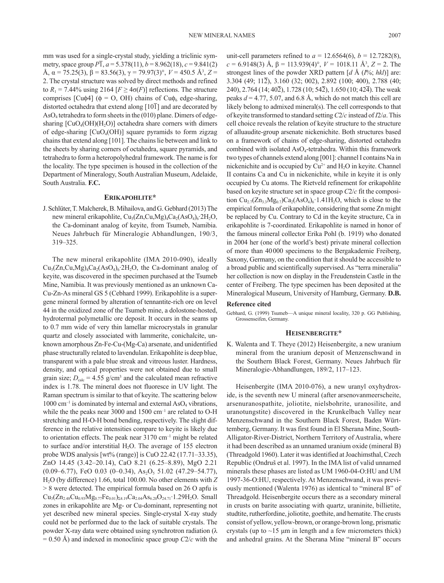mm was used for a single-crystal study, yielding a triclinic symmetry, space group  $P\overline{1}$ ,  $a = 5.378(11)$ ,  $b = 8.962(18)$ ,  $c = 9.841(2)$ Å,  $\alpha$  = 75.25(3),  $\beta$  = 83.56(3),  $\gamma$  = 79.97(3)°,  $V$  = 450.5 Å<sup>3</sup>, Z = 2. The crystal structure was solved by direct methods and refined to  $R_1 = 7.44\%$  using 2164  $[F \geq 4\sigma(F)]$  reflections. The structure comprises [Cu $\phi$ 4] ( $\phi$  = O, OH) chains of Cu $\phi_6$  edge-sharing, distorted octahedra that extend along  $[10\overline{1}]$  and are decorated by AsO4 tetrahedra to form sheets in the (010) plane. Dimers of edgesharing  $[CuO<sub>4</sub>(OH)(H<sub>2</sub>O)]$  octahedra share corners with dimers of edge-sharing  $[CuO_4(OH)]$  square pyramids to form zigzag chains that extend along [101]. The chains lie between and link to the sheets by sharing corners of octahedra, square pyramids, and tetrahedra to form a heteropolyhedral framework. The name is for the locality. The type specimen is housed in the collection of the Department of Mineralogy, South Australian Museum, Adelaide, South Australia. **F.C.**

### **Erikapohlite\***

J. Schlüter, T. Malcherek, B. Mihailova, and G. Gebhard (2013) The new mineral erikapohlite, Cu<sub>3</sub>(Zn,Cu,Mg)<sub>4</sub>Ca<sub>2</sub>(AsO<sub>4</sub>)<sub>6</sub>∙2H<sub>2</sub>O, the Ca-dominant analog of keyite, from Tsumeb, Namibia. Neues Jahrbuch für Mineralogie Abhandlungen, 190/3, 319–325.

The new mineral erikapohlite (IMA 2010-090), ideally  $Cu_3(Zn,Cu,Mg)_4Ca_2(AsO_4)_6·2H_2O$ , the Ca-dominant analog of keyite, was discovered in the specimen purchased at the Tsumeb Mine, Namibia. It was previously mentioned as an unknown Ca-Cu-Zn-As mineral GS 5 (Cebhard 1999). Erikapohlite is a supergene mineral formed by alteration of tennantite-rich ore on level 44 in the oxidized zone of the Tsumeb mine, a dolostone-hosted, hydrotermal polymetallic ore deposit. It occurs in the seams up to 0.7 mm wide of very thin lamellar microcrystals in granular quartz and closely associated with lammerite, conichalcite, unknown amorphous Zn-Fe-Cu-(Mg-Ca) arsenate, and unidentified phase structurally related to lavendulan. Erikapohlite is deep blue, transparent with a pale blue streak and vitreous luster. Hardness, density, and optical properties were not obtained due to small grain size;  $D_{\text{calc}} = 4.55$  g/cm<sup>3</sup> and the calculated mean refractive index is 1.78. The mineral does not fluoresce in UV light. The Raman spectrum is similar to that of keyite. The scattering below  $1000 \text{ cm}^{-1}$  is dominated by internal and external AsO<sub>4</sub> vibrations, while the the peaks near 3000 and 1500 cm<sup>-1</sup> are related to O-H stretching and H-O-H bond bending, respectively. The slight difference in the relative intensities compare to keyite is likely due to orientation effects. The peak near  $3170 \text{ cm}^{-1}$  might be related to surface and/or interstitial  $H_2O$ . The average of 155 electron probe WDS analysis [wt% (range)] is CuO 22.42 (17.71–33.35), ZnO 14.45 (3.42–20.14), CaO 8.21 (6.25–8.89), MgO 2.21  $(0.09-6.77)$ , FeO 0.03  $(0-0.34)$ , As<sub>2</sub>O<sub>5</sub> 51.02  $(47.29-54.77)$ , H2O (by difference) 1.66, total 100.00. No other elements with *Z* > 8 were detected. The empirical formula based on 26 O apfu is  $Cu_{3}(Zn_{2.48}Cu_{0.93}Mg_{0.77}Fe_{0.01})_{\Sigma4.19}Ca_{2.04}As_{6.20}O_{24.71}$  1.29H<sub>2</sub>O. Small zones in erikapohlite are Mg- or Cu-dominant, representing not yet described new mineral species. Single-crystal X-ray study could not be performed due to the lack of suitable crystals. The powder X-ray data were obtained using synchrotron radiation (λ  $= 0.50$  Å) and indexed in monoclinic space group *C2/c* with the

unit-cell parameters refined to  $a = 12.6564(6)$ ,  $b = 12.7282(8)$ ,  $c = 6.9148(3)$  Å,  $\beta = 113.939(4)$ °,  $V = 1018.11$  Å<sup>3</sup>,  $Z = 2$ . The strongest lines of the powder XRD pattern [*d* Å (*I*%; *hkl*)] are: 3.304 (49; 112), 3.160 (32; 002), 2.892 (100; 400), 2.788 (40; 240), 2.764 (14; 40 $\overline{2}$ ), 1.728 (10; 54 $\overline{2}$ ), 1.650 (10; 42 $\overline{4}$ ). The weak peaks  $d = 4.77, 5.07,$  and 6.8 Å, which do not match this cell are likely belong to admixed mineral(s). The cell corresponds to that of keyite transformed to standard setting *C*2/*c* instead of *I*2/*a*. This cell choice reveals the relation of keyite structure to the structure of alluaudite-group arsenate nickenichite. Both structures based on a framework of chains of edge-sharing, distorted octahedra combined with isolated  $AsO<sub>4</sub>$ -tetrahedra. Within this framework two types of channels extend along [001]: channel I contains Na in nickenichite and is occupied by  $Cu^{2+}$  and  $H_2O$  in keyite. Channel II contains Ca and Cu in nickenichite, while in keyite it is only occupied by Cu atoms. The Rietveld refinement for erikapohlite based on keyite structure set in space group *C*2/*c* fit the composition  $Cu_{2.7}(Zn_3,Mg_{0.7})Ca_2(AsO_4)_6$  1.41H<sub>2</sub>O, which is close to the empirical formula of erikapohlite, considering that some Zn might be replaced by Cu. Contrary to Cd in the keyite structure, Ca in erikapohlite is 7-coordinated. Erikapohlite is named in honor of the famous mineral collector Erika Pohl (b. 1919) who donated in 2004 her (one of the world's best) private mineral collection of more than 40000 specimens to the Bergakademie Freiberg, Saxony, Germany, on the condition that it should be accessible to a broad public and scientifically supervised. As "terra mineralia" her collection is now on display in the Freudenstein Castle in the center of Freiberg. The type specimen has been deposited at the Mineralogical Museum, University of Hamburg, Germany. **D.B.**

#### **Reference cited**

Gebhard, G. (1999) Tsumeb—A unique mineral locality, 320 p. GG Publishing, Grossenseifen, Germany.

### **Heisenbergite\***

K. Walenta and T. Theye (2012) Heisenbergite, a new uranium mineral from the uranium deposit of Menzenschwand in the Southern Black Forest, Germany. Neues Jahrbuch für Mineralogie-Abhandlungen, 189/2, 117–123.

Heisenbergite (IMA 2010-076), a new uranyl oxyhydroxide, is the seventh new U mineral (after arsenovanmeerscheite, arsenuranospathite, joliotite, nielsbohrite, uranosilite, and uranotungstite) discovered in the Krunkelbach Valley near Menzenschwand in the Southern Black Forest, Baden Württemberg, Germany. It was first found in El Sherana Mine, South-Alligator-River-District, Northern Territory of Australia, where it had been described as an unnamed uranium oxide (mineral B) (Threadgold 1960). Later it was identified at Joachimsthal, Czech Republic (Ondruš et al. 1997). In the IMA list of valid unnamed minerals these phases are listed as UM 1960-04-O:HU and UM 1997-36-O:HU, respectively. At Menzenschwand, it was previously mentioned (Walenta 1976) as identical to "mineral B" of Threadgold. Heisenbergite occurs there as a secondary mineral in crusts on barite associating with quartz, uraninite, billietite, studtite, rutherfordine, joliotite, goethite, and hematite. The crusts consist of yellow, yellow-brown, or orange-brown long, prismatic crystals (up to  $\sim$ 15  $\mu$ m in length and a few micrometers thick) and anhedral grains. At the Sherana Mine "mineral B" occurs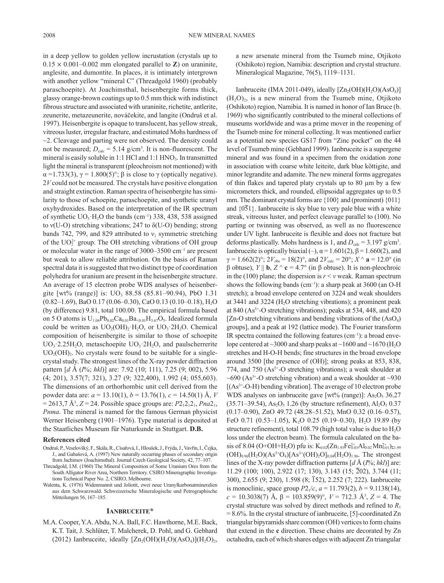in a deep yellow to golden yellow incrustation (crystals up to  $0.15 \times 0.001 - 0.002$  mm elongated parallel to **Z**) on uraninite, anglesite, and dumontite. In places, it is intimately intergrown with another yellow "mineral C" (Threadgold 1960) (probably paraschoepite). At Joachimsthal, heisenbergite forms thick, glassy orange-brown coatings up to 0.5 mm thick with indistinct fibrous structure and associated with uraninite, richetite, antlerite, zeunerite, metazeunerite, nováčekite, and langite (Ondruš et al. 1997). Heisenbergite is opaque to translucent, has yellow streak, vitreous luster, irregular fracture, and estimated Mohs hardness of  $\sim$ 2. Cleavage and parting were not observed. The density could not be measured;  $D_{\text{calc}} = 5.14$  g/cm<sup>3</sup>. It is non-fluorescent. The mineral is easily soluble in  $1:1$  HCl and  $1:1$  HNO<sub>3</sub>. In transmitted light the mineral is transparent (pleochroism not mentioned) with  $\alpha$  =1.733(3),  $\gamma$  = 1.800(5)°;  $\beta$  is close to  $\gamma$  (optically negative). 2*V* could not be measured. The crystals have positive elongation and straight extinction. Raman spectra of heisenbergite has similarity to those of schoepite, paraschoepite, and synthetic uranyl oxyhydroxides. Based on the interpretation of the IR spectrum of synthetic  $UO_3$  H<sub>2</sub>O the bands (cm<sup>-1</sup>) 338, 438, 538 assigned to ν(U-O) stretching vibrations; 247 to δ(U-O) bending; strong bands 742, 799, and 829 attributed to  $v_1$  symmetric stretching of the  $UO_2^{2+}$  group. The OH stretching vibrations of OH group or molecular water in the range of 3000–3500 cm–1 are present but weak to allow reliable attribution. On the basis of Raman spectral data it is suggested that two distinct type of coordination polyhedra for uranium are present in the heisenbergite structure. An average of 15 electron probe WDS analyses of heisenbergite  $[wt\%$  (range)] is:  $UO_3$  88.58 (85.81–90.94), PbO 1.31 (0.82–1.69), BaO 0.17 (0.06–0.30), CaO 0.13 (0.10–0.18), H2O (by difference) 9.81, total 100.00. The empirical formula based on 5 O atoms is  $U_{1.04}Pb_{0.02}Ca_{0.01}Ba_{0.01}H_{3.67}O_5$ . Idealized formula could be written as  $UO_2(OH)_2$  H<sub>2</sub>O, or  $UO_3$  2H<sub>2</sub>O. Chemical composition of heisenbergite is similar to those of schoepite  $UO_3$  2.25H<sub>2</sub>O, metaschoepite  $UO_3$  2H<sub>2</sub>O, and paulscherrerite  $UO<sub>2</sub>(OH)<sub>2</sub>$ . No crystals were found to be suitable for a singlecrystal study. The strongest lines of the X-ray powder diffraction pattern [*d* Å (*I*%; *hkl*)] are: 7.92 (10; 111), 7.25 (9; 002), 5.96 (4; 201), 3.57(7; 321), 3.27 (9; 322,400), 1.992 (4; 055,603). The dimensions of an orthorhombic unit cell derived from the powder data are: *a* = 13.10(1), *b* = 13.76(1), *c* = 14.50(1) Å, *V*  $= 2613, 7 \text{ Å}^3, Z = 24.$  Possible space groups are:  $P2_12_12_1, Pna2_1,$ *Pnma*. The mineral is named for the famous German physicist Werner Heisenberg (1901–1976). Type material is deposited at the Staatliches Museum für Naturkunde in Stuttgart. **D.B.**

#### **References cited**

- Ondruš, P., Veselovšký, F., Skála, R., Císařová, I., Hloušek, J., Frýda, J., Vavřín, I., Čejka, J., and Gabašová, A. (1997) New naturally occurring phases of secondary origin from Jachimov (Joachimsthal). Journal Czech Geological Society, 42, 77–107.
- Threadgold, I.M. (1960) The Mineral Composition of Some Uranium Ores from the South Alligator River Area, Northern Territory. CSIRO Mineragraphic Investigations Technical Paper No. 2, CSIRO, Melbourne.
- Walenta, K. (1976) Widenmannit und Joliotit, zwei neue Uranylkarbonatmineralien aus dem Schwarzwald. Schweizerische Mineralogische und Petrographische Mitteilungen 56, 167–185.

#### **Ianbruceite\***

M.A. Cooper, Y.A. Abdu, N.A. Ball, F.C. Hawthorne, M.E. Back, K.T. Tait, J. Schlüter, T. Malcherek, D. Pohl, and G. Gebhard (2012) Ianbruceite, ideally  $[Zn_2(OH)(H_2O)(AsO_4)](H_2O)_2$ , a new arsenate mineral from the Tsumeb mine, Otjikoto (Oshikoto) region, Namibia: description and crystal structure. Mineralogical Magazine, 76(5), 1119–1131.

Ianbruceite (IMA 2011-049), ideally  $[Zn_2(OH)(H_2O)(AsO_4)]$  $(H<sub>2</sub>O)<sub>2</sub>$ , is a new mineral from the Tsumeb mine, Otjikoto (Oshikoto) region, Namibia. It is named in honor of Ian Bruce (b. 1969) who significantly contributed to the mineral collections of museums worldwide and was a prime mover in the reopening of the Tsumeb mine for mineral collecting. It was mentioned earlier as a potential new species GS17 from "Zinc pocket" on the 44 level of Tsumeb mine (Gebhard 1999). Ianbruceite is a supergene mineral and was found in a specimen from the oxidation zone in association with coarse white leiteite, dark blue köttigite, and minor legrandite and adamite. The new mineral forms aggregates of thin flakes and tapered platy crystals up to 80 µm by a few micrometers thick, and rounded, ellipsoidal aggregates up to 0.5 mm. The dominant crystal forms are  $\{100\}$  and (prominent)  $\{011\}$ and  ${051}$ . Ianbruceite is sky blue to very pale blue with a white streak, vitreous luster, and perfect cleavage parallel to (100). No parting or twinning was observed, as well as no fluorescence under UV light. Ianbruceite is flexible and does not fracture but deforms plastically. Mohs hardness is 1, and  $D_{\text{calc}} = 3.197 \text{ g/cm}^3$ . Ianbruceite is optically biaxial (–),  $\alpha$  = 1.601(2),  $\beta$  = 1.660(2), and  $\gamma = 1.662(2)$ °;  $2V_{obs} = 18(2)$ °, and  $2V_{calc} = 20$ °;  $X \wedge \mathbf{a} = 12.0$ ° (in β obtuse), *Y* || **b**, *Z* ^ **c** = 4.7° (in β obtuse). It is non-pleochroic in the (100) plane; the dispersion is  $r < v$  weak. Raman spectrum shows the following bands (cm<sup>-1</sup>): a sharp peak at  $3600$  (an O-H stretch); a broad envelope centered on 3224 and weak shoulders at 3441 and 3224 ( $H<sub>2</sub>O$  stretching vibrations); a prominent peak at 840 ( $As<sup>5+</sup>-O$  stretching vibrations); peaks at 534, 448, and 420 [ $Zn-O$  stretching vibrations and bending vibrations of the  $(AsO<sub>4</sub>)$ ] groups], and a peak at 192 (lattice mode). The Fourier transform IR spectra contained the following features  $(cm<sup>-1</sup>)$ : a broad envelope centered at  $\sim$ 3000 and sharp peaks at  $\sim$ 1600 and  $\sim$ 1670 (H<sub>2</sub>O stretches and H-O-H bends; fine structures in the broad envelope around 3500 [the presence of (OH)]; strong peaks at 853, 838, 774, and 750 ( $As<sup>5+</sup>-O$  stretching vibrations); a weak shoulder at  $\sim$ 690 (As<sup>3+</sup>-O stretching vibration) and a weak shoulder at  $\sim$ 930  $[(As<sup>3+</sup>-O-H)$  bending vibration]. The average of 10 electron probe WDS analyses on ianbruceite gave [wt% (range)]:  $As<sub>2</sub>O<sub>5</sub> 36.27$  $(35.71-39.54)$ , As<sub>2</sub>O<sub>3</sub> 1.26 (by structure refinement), Al<sub>2</sub>O<sub>3</sub> 0.37 (0.17–0.90), ZnO 49.72 (48.28–51.52), MnO 0.32 (0.16–0.57), FeO 0.71 (0.53–1.05), K<sub>2</sub>O 0.25 (0.19–0.30), H<sub>2</sub>O 19.89 (by structure refinement), total 108.79 (high total value is due to  $H_2O$ loss under the electron beam). The formula calculated on the basis of 8.04 (O+OH+H<sub>2</sub>O) pfu is:  $K_{0.02}(Zn_{1.93}Fe_{0.03}^{2+}Al_{0.02}Mn_{0.01}^{2+})_{\Sigma1.99}$  $(OH)_{0.96}(H_2O)(As^{5+}O_4)[As^{3+}(OH)_2O]_{0.04}(H_2O)_{1.96}$ . The strongest lines of the X-ray powder diffraction patterns [*d* Å (*I*%; *hkl*)] are: 11.29 (100; 100), 2.922 (17; 130), 3.143 (15; 202), 3.744 (11; 300), 2.655 (9; 230), 1.598 (8; 152), 2.252 (7; 222). Ianbruceite is monoclinic, space group  $P2_1/c$ ,  $a = 11.793(2)$ ,  $b = 9.1138(14)$ , *c* = 10.3038(7) Å, β = 103.859(9)°, *V* = 712.3 Å3 , *Z* = 4. The crystal structure was solved by direct methods and refined to *R*<sup>1</sup> = 8.6%. In the crystal structure of ianbruceite, [5]-coordinated Zn triangular bipyramids share common (OH) vertices to form chains that extend in the **c** direction. These chains are decorated by Zn octahedra, each of which shares edges with adjacent Zn triangular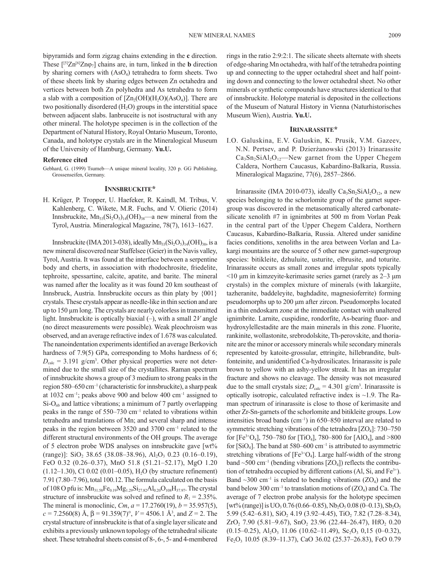bipyramids and form zigzag chains extending in the **c** direction. These  $[{}^{[5]}Zn^{[6]}Zn\varphi_7]$  chains are, in turn, linked in the **b** direction by sharing corners with  $(AsO<sub>4</sub>)$  tetrahedra to form sheets. Two of these sheets link by sharing edges between Zn octahedra and vertices between both Zn polyhedra and As tetrahedra to form a slab with a composition of  $[Zn_2(OH)(H_2O)(AsO_4)]$ . There are two positionally disordered  $(H<sub>2</sub>O)$  groups in the interstitial space between adjacent slabs. Ianbruceite is not isostructural with any other mineral. The holotype specimen is in the collection of the Department of Natural History, Royal Ontario Museum, Toronto, Canada, and holotype crystals are in the Mineralogical Museum of the University of Hamburg, Germany. **Yu.U.** 

#### **Reference cited**

Gebhard, G. (1999) Tsumeb—A unique mineral locality, 320 p. GG Publishing, Grossenseifen, Germany.

### **Innsbruckite\***

H. Krüger, P. Tropper, U. Haefeker, R. Kaindl, M. Tribus, V. Kahlenberg, C. Wikete, M.R. Fuchs, and V. Olieric (2014) Innsbruckite,  $Mn_{33}(Si_2O_5)_{14}(OH)_{38}$ —a new mineral from the Tyrol, Austria. Mineralogical Magazine, 78(7), 1613–1627.

Innsbruckite (IMA 2013-038), ideally  $\text{Mn}_{33}(\text{Si}_2\text{O}_5)_{14}(\text{OH})_{38}$ , is a new mineral discovered near Staffelsee (Geier) in the Navis valley, Tyrol, Austria. It was found at the interface between a serpentine body and cherts, in association with rhodochrosite, friedelite, tephroite, spessartine, calcite, apatite, and barite. The mineral was named after the locality as it was found 20 km southeast of Innsbruck, Austria. Innsbruckite occurs as thin platy by {001} crystals. These crystals appear as needle-like in thin section and are up to 150 µm long. The crystals are nearly colorless in transmitted light. Innsbruckite is optically biaxial (–), with a small 2*V* angle (no direct measurements were possible). Weak pleochroism was observed, and an average refractive index of 1.678 was calculated. The nanoindentation experiments identified an average Berkovich hardness of 7.9(5) GPa, corresponding to Mohs hardness of 6;  $D_{\text{calc}} = 3.191$  g/cm<sup>3</sup>. Other physical properties were not determined due to the small size of the crystallites. Raman spectrum of innsbruckite shows a group of 3 medium to strong peaks in the region 580–650 cm–1 (characteristic for innsbruckite), a sharp peak at  $1032 \text{ cm}^{-1}$ ; peaks above 900 and below 400 cm<sup>-1</sup> assigned to  $Si-O<sub>nb</sub>$  and lattice vibrations; a minimum of 7 partly overlapping peaks in the range of 550–730 cm–1 related to vibrations within tetrahedra and translations of Mn; and several sharp and intense peaks in the region between 3520 and 3700 cm–1 related to the different structural environments of the OH groups. The average of 5 electron probe WDS analyses on innsbruckite gave [wt% (range)]:  $SiO_2$  38.65 (38.08–38.96),  $Al_2O_3$  0.23 (0.16–0.19), FeO 0.32 (0.26–0.37), MnO 51.8 (51.21–52.17), MgO 1.20  $(1.12-1.30)$ , Cl 0.02  $(0.01-0.05)$ , H<sub>2</sub>O (by structure refinement) 7.91 (7.80–7.96), total 100.12. The formula calculated on the basis of 108 O pfu is:  $Mn_{31.58}Fe_{0.19}Mg_{1.29}Si_{27.82}Al_{0.20}O_{108}H_{37.97}$ . The crystal structure of innsbruckite was solved and refined to  $R_1 = 2.35\%$ . The mineral is monoclinic, *Cm*,  $a = 17.2760(19)$ ,  $b = 35.957(5)$ ,  $c = 7.2560(8)$  Å,  $\beta = 91.359(7)$ °,  $V = 4506.1$  Å<sup>3</sup>, and  $Z = 2$ . The crystal structure of innsbruckite is that of a single layer silicate and exhibits a previously unknown topology of the tetrahedral silicate sheet. These tetrahedral sheets consist of 8-, 6-, 5- and 4-membered

rings in the ratio 2:9:2:1. The silicate sheets alternate with sheets of edge-sharing Mn octahedra, with half of the tetrahedra pointing up and connecting to the upper octahedral sheet and half pointing down and connecting to the lower octahedral sheet. No other minerals or synthetic compounds have structures identical to that of innsbruckite. Holotype material is deposited in the collections of the Museum of Natural History in Vienna (Naturhistorisches Museum Wien), Austria. **Yu.U.**

### **Irinarassite\***

I.O. Galuskina, E.V. Galuskin, K. Prusik, V.M. Gazeev, N.N. Pertsev, and P. Dzierżanowski (2013) Irinarassite  $Ca<sub>3</sub>Sn<sub>2</sub>SiAl<sub>2</sub>O<sub>12</sub>$ —New garnet from the Upper Chegem Caldera, Northern Caucasus, Kabardino-Balkaria, Russia. Mineralogical Magazine, 77(6), 2857–2866.

Irinarassite (IMA 2010-073), ideally  $Ca<sub>3</sub>Sn<sub>2</sub>SiAl<sub>2</sub>O<sub>12</sub>$ , a new species belonging to the schorlomite group of the garnet supergroup was discovered in the metasomatically altered carbonatesilicate xenolith #7 in ignimbrites at 500 m from Vorlan Peak in the central part of the Upper Chegem Caldera, Northern Caucasus, Kabardino-Balkaria, Russia. Altered under sanidine facies conditions, xenoliths in the area between Vorlan and Lakargi mountains are the source of 5 other new garnet-supergroup species: bitikleite, dzhuluite, usturite, elbrusite, and toturite. Irinarassite occurs as small zones and irregular spots typically <10 μm in kimzeyite-kerimasite series garnet (rarely as 2–3 μm crystals) in the complex mixture of minerals (with lakargiite, tazheranite, baddeleyite, baghdadite, magnesioferrite) forming pseudomorphs up to 200 μm after zircon. Pseudomorphs located in a thin endoskarn zone at the immediate contact with unaltered ignimbrite. Larnite, cuspidine, rondorfite, As-bearing fluor- and hydroxylellestadite are the main minerals in this zone. Fluorite, rankinite, wollastonite, srebrodolskite, Th-perovskite, and thorianite are the minor or accessory minerals while secondary minerals represented by katoite-grossular, ettringite, hillebrandite, bultfonteinite, and unidentified Ca-hydrosilicates. Irinarassite is pale brown to yellow with an ashy-yellow streak. It has an irregular fracture and shows no cleavage. The density was not measured due to the small crystals size;  $D_{\text{calc}} = 4.301$  g/cm<sup>3</sup>. Irinarassite is optically isotropic, calculated refractive index is  $\sim$ 1.9. The Raman spectrum of irinarassite is close to those of kerimasite and other Zr-Sn-garnets of the schorlomite and bitikleite groups. Low intensities broad bands ( $cm^{-1}$ ) in 650–850 interval are related to symmetric stretching vibrations of the tetrahedra  $[ZO_4]$ : 730–750 for  $[Fe^{3+}O_4]$ , 750–780 for  $[TiO_4]$ , 780–800 for  $[AlO_4]$ , and >800 for  $[SiO<sub>4</sub>]$ . The band at 580–600 cm<sup>-1</sup> is attributed to asymmetric stretching vibrations of  $[Fe^{3+}O_4]$ . Large half-width of the strong band  $\sim$  500 cm<sup>-1</sup> (bending vibrations [ZO<sub>4</sub>]) reflects the contribution of tetrahedra occupied by different cations  $(Al, Sl, and Fe<sup>3+</sup>)$ . Band  $\sim$ 300 cm<sup>-1</sup> is related to bending vibrations (ZO<sub>4</sub>) and the band below 300 cm<sup>-1</sup> to translation motions of  $(ZO<sub>4</sub>)$  and Ca. The average of 7 electron probe analysis for the holotype specimen  $[wt\% (range)]$  is UO<sub>3</sub> 0.76 (0.66–0.85), Nb<sub>2</sub>O<sub>5</sub> 0.08 (0–0.13), Sb<sub>2</sub>O<sub>5</sub> 5.99 (5.42–6.81),  $SiO<sub>2</sub>$  4.19 (3.92–4.45),  $TiO<sub>2</sub>$  7.82 (7.28–8.34),  $ZrO$ , 7.90 (5.81–9.67), SnO, 23.96 (22.44–26.47), HfO, 0.20  $(0.15-0.25)$ , Al<sub>2</sub>O<sub>3</sub> 11.06 (10.62–11.49), Sc<sub>2</sub>O<sub>3</sub> 0,15 (0–0.32), Fe2O3 10.05 (8.39–11.37), CaO 36.02 (25.37–26.83), FeO 0.79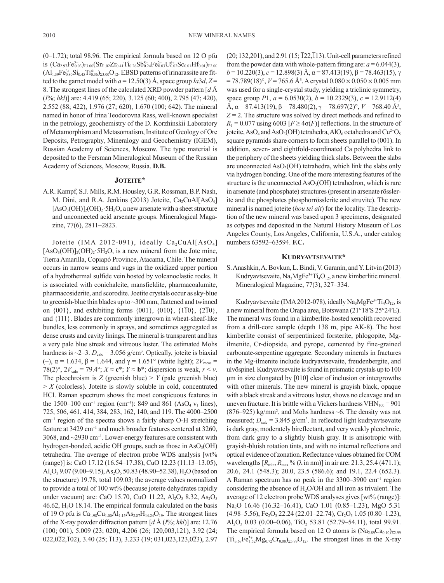(0–1.72); total 98.96. The empirical formula based on 12 O pfu is  $(Ca_{2.97}Fe_{0.03}^{2+})_{\Sigma_{3.00}}(Sn_{1.02}Zr_{0.41}Ti_{0.26}Sb_{0.24}^{5+}Fe_{0.03}^{2+}U_{0.02}^{6+}Sc_{0.01}Hf_{0.01})_{\Sigma_{2.00}}$  $(A1_{1.39}Fe_{0.80}^{3+}Si_{0.45}Ti_{0.36}^{4+})_{\Sigma_{3.00}O_{12}}$ . EBSD patterns of irinarassite are fitted to the garnet model with  $a = 12.50(3)$  Å, space group  $Ia\overline{3}d$ ,  $Z =$ 8. The strongest lines of the calculated XRD powder pattern [*d* Å (*I*%; *hkl*)] are: 4.419 (65; 220), 3.125 (60; 400), 2.795 (47; 420), 2.552 (88; 422), 1.976 (27; 620), 1.670 (100; 642). The mineral named in honor of Irina Teodorovna Rass, well-known specialist in the petrology, geochemistry of the D. Korzhinskii Laboratory of Metamorphism and Metasomatism, Institute of Geology of Ore Deposits, Petrography, Mineralogy and Geochemistry (IGEM), Russian Academy of Sciences, Moscow. The type material is deposited to the Fersman Mineralogical Museum of the Russian Academy of Sciences, Moscow, Russia. **D.B.**

### **Joteite\***

A.R. Kampf, S.J. Mills, R.M. Housley, G.R. Rossman, B.P. Nash, M. Dini, and R.A. Jenkins (2013) Joteite,  $Ca<sub>2</sub>CuAl[AsO<sub>4</sub>]$  $[AsO<sub>3</sub>(OH)]<sub>2</sub>(OH)<sub>2</sub>·5H<sub>2</sub>O$ , a new arsenate with a sheet structure and unconnected acid arsenate groups. Mineralogical Magazine, 77(6), 2811–2823.

Joteite (IMA 2012-091), ideally  $Ca_2CuAl[AsO<sub>4</sub>]$  $[AsO<sub>3</sub>(OH)]<sub>2</sub>(OH)<sub>2</sub>$ : 5H<sub>2</sub>O, is a new mineral from the Jote mine, Tierra Amarilla, Copiapó Province, Atacama, Chile. The mineral occurs in narrow seams and vugs in the oxidized upper portion of a hydrothermal sulfide vein hosted by volcanoclastic rocks. It is associated with conichalcite, mansfieldite, pharmacoalumite, pharmacosiderite, and scorodite. Joetite crystals occur as sky-blue to greenish-blue thin blades up to ~300 mm, flattened and twinned on  $\{001\}$ , and exhibiting forms  $\{001\}$ ,  $\{010\}$ ,  $\{1\overline{1}0\}$ ,  $\{2\overline{1}0\}$ , and {111}. Blades are commonly intergrown in wheat-sheaf-like bundles, less commonly in sprays, and sometimes aggregated as dense crusts and cavity linings. The mineral is transparent and has a very pale blue streak and vitreous luster. The estimated Mohs hardness is  $\sim$ 2–3.  $D_{\text{calc}}$  = 3.056 g/cm<sup>3</sup>. Optically, joteite is biaxial (-),  $\alpha$  = 1.634,  $\beta$  = 1.644, and  $\gamma$  = 1.651° (white light); 2*V*<sub>meas</sub> = 78(2)°,  $2V_{\text{calc}} = 79.4$ °;  $X \approx \mathbf{c}^*$ ;  $Y \approx \mathbf{b}^*$ ; dispersion is weak,  $r \le v$ . The pleochroism is *Z* (greenish blue)  $>$  *Y* (pale greenish blue)  $> X$  (colorless). Joteite is slowly soluble in cold, concentrated HCl. Raman spectrum shows the most conspicuous features in the 1500–100 cm<sup>-1</sup> region (cm<sup>-1</sup>): 849 and 861 (AsO<sub>4</sub>  $v_1$  lines), 725, 506, 461, 414, 384, 283, 162, 140, and 119. The 4000–2500 cm–1 region of the spectra shows a fairly sharp O-H stretching feature at 3429 cm–1 and much broader features centered at 3260, 3068, and  $\sim$ 2930 cm<sup>-1</sup>. Lower-energy features are consistent with hydrogen-bonded, acidic OH groups, such as those in  $AsO<sub>3</sub>(OH)$ tetrahedra. The average of electron probe WDS analysis [wt% (range)] is: CaO 17.12 (16.54–17.38), CuO 12.23 (11.13–13.05), Al<sub>2</sub>O<sub>3</sub> 9.07 (9.00–9.15), As<sub>2</sub>O<sub>5</sub> 50.83 (48.90–52.38), H<sub>2</sub>O (based on the structure) 19.78, total 109.03; the average values normalized to provide a total of 100 wt% (because joteite dehydrates rapidly under vacuum) are: CaO 15.70, CuO 11.22, Al<sub>2</sub>O<sub>3</sub> 8.32, As<sub>2</sub>O<sub>5</sub>  $46.62$ ,  $H<sub>2</sub>O$  18.14. The empirical formula calculated on the basis of 19 O pfu is  $Ca<sub>1.98</sub>Cu<sub>1.00</sub>Al<sub>1.15</sub>As<sub>2.87</sub>H<sub>14.24</sub>O<sub>19</sub>$ . The strongest lines of the X-ray powder diffraction pattern [*d* Å (*I*%; *hkl*)] are: 12.76 (100; 001), 5.009 (23; 020), 4.206 (26; 120,003,121), 3.92 (24;  $022,022,\overline{1}02$ , 3.40 (25;  $\overline{1}13$ ), 3.233 (19; 031,023,123,023), 2.97

 $(20; 132, 201)$ , and  $2.91$   $(15; 122, 113)$ . Unit-cell parameters refined from the powder data with whole-pattern fitting are:  $a = 6.044(3)$ ,  $b = 10.220(3)$ ,  $c = 12.898(3)$  Å,  $\alpha = 87.413(19)$ ,  $\beta = 78.463(15)$ ,  $\gamma$  $= 78.789(18)^\circ$ ,  $V = 765.6$  Å<sup>3</sup>. A crystal  $0.080 \times 0.050 \times 0.005$  mm was used for a single-crystal study, yielding a triclinic symmetry, space group  $\overline{PI}$ ,  $a = 6.0530(2)$ ,  $b = 10.2329(3)$ ,  $c = 12.9112(4)$ Å,  $\alpha$  = 87.413(19),  $\beta$  = 78.480(2),  $\gamma$  = 78.697(2)°,  $V$  = 768.40 Å<sup>3</sup>,  $Z = 2$ . The structure was solved by direct methods and refined to  $R_1 = 0.077$  using 6003 [ $F \geq 4\sigma(F)$ ] reflections. In the structure of joteite, AsO<sub>4</sub> and AsO<sub>3</sub>(OH) tetrahedra, AlO<sub>6</sub> octahedra and Cu<sup>2+</sup>O<sub>5</sub> square pyramids share corners to form sheets parallel to (001). In addition, seven- and eightfold-coordinated Ca polyhedra link to the periphery of the sheets yielding thick slabs. Between the slabs are unconnected  $AsO<sub>3</sub>(OH)$  tetrahedra, which link the slabs only via hydrogen bonding. One of the more interesting features of the structure is the unconnected  $AsO<sub>3</sub>(OH)$  tetrahedron, which is rare in arsenate (and phosphate) structures (present in arsenate rösslerite and the phosphates phosphorrösslerite and struvite). The new mineral is named joteite (*hou tei ait*) for the locality. The description of the new mineral was based upon 3 specimens, designated as cotypes and deposited in the Natural History Museum of Los Angeles County, Los Angeles, California, U.S.A., under catalog numbers 63592–63594. **F.C.**

### **Kudryavtsevaite\***

S. Anashkin, A. Bovkun, L. Bindi, V. Garanin, and Y. Litvin (2013) Kudryavtsevaite,  $Na<sub>3</sub>MgFe<sup>3+</sup>Ti<sub>4</sub>O<sub>12</sub>$ , a new kimberlitic mineral. Mineralogical Magazine, 77(3), 327–334.

Kudryavtsevaite (IMA 2012-078), ideally  $Na<sub>3</sub>MgFe<sup>3+</sup>Ti<sub>4</sub>O<sub>12</sub>$ , is a new mineral from the Orapa area, Botswana (21°18′S 25°24′E). The mineral was found in a kimberlite-hosted xenolith recovered from a drill-core sample (depth 138 m, pipe AK-8). The host kimberlite consist of serpentinized forsterite, phlogopite, Mgilmenite, Cr-diopside, and pyrope, cemented by fine-grained carbonate-serpentine aggregate. Secondary minerals in fractures in the Mg-ilmenite include kudryavtsevaite, freudenbergite, and ulvöspinel. Kudryavtsevaite is found in prismatic crystals up to 100 μm in size elongated by [010] clear of inclusion or intergrowths with other minerals. The new mineral is grayish black, opaque with a black streak and a vitreous luster, shows no cleavage and an uneven fracture. It is brittle with a Vickers hardness  $VHN<sub>100</sub> = 901$  $(876–925)$  kg/mm<sup>2</sup>, and Mohs hardness  $~6$ . The density was not measured;  $D_{\text{calc}} = 3.845 \text{ g/cm}^3$ . In reflected light kudryavtsevaite is dark gray, moderately bireflectant, and very weakly pleochroic, from dark gray to a slightly bluish gray. It is anisotropic with grayish-bluish rotation tints, and with no internal reflections and optical evidence of zonation. Reflectance values obtained for COM wavelengths [ $R_{\text{min}}$ ,  $R_{\text{max}}$ % (λ in nm)] in air are: 21.3, 25.4 (471.1); 20.6, 24.1 (548.3); 20.0, 23.5 (586.6); and 19.1, 22.4 (652.3). A Raman spectrum has no peak in the 3300–3900 cm–1 region considering the absence of  $H<sub>2</sub>O/OH$  and all iron as trivalent. The average of 12 electron probe WDS analyses gives [wt% (range)]: Na2O 16.46 (16.32–16.41), CaO 1.01 (0.85–1.23), MgO 5.31  $(4.98-5.56)$ , Fe<sub>2</sub>O<sub>3</sub> 22.24 (22.01–22.74), Cr<sub>2</sub>O<sub>3</sub> 1.05 (0.80–1.23), Al<sub>2</sub>O<sub>3</sub> 0.03 (0.00–0.06), TiO<sub>2</sub> 53.81 (52.79–54.11), total 99.91. The empirical formula based on 12 O atoms is  $(Na<sub>2.89</sub>Ca<sub>0.10</sub>)<sub>52.99</sub>$  $(Ti_{3.67}Fe_{1.52}^{3+}Mg_{0.72}Cr_{0.08})_{\Sigma 5.99}O_{12}$ . The strongest lines in the X-ray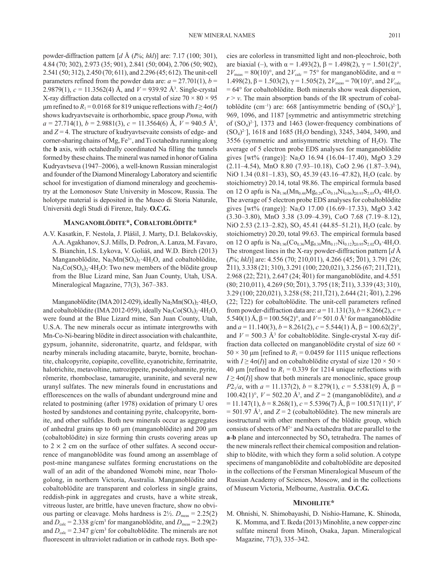powder-diffraction pattern [*d* Å (*I*%; *hkl*)] are: 7.17 (100; 301), 4.84 (70; 302), 2.973 (35; 901), 2.841 (50; 004), 2.706 (50; 902), 2.541 (50; 312), 2.450 (70; 611), and 2.296 (45; 612). The unit-cell parameters refined from the powder data are:  $a = 27.701(1)$ ,  $b =$ 2.9879(1), *c* = 11.3562(4) Å, and *V* = 939.92 Å3 . Single-crystal X-ray diffraction data collected on a crystal of size  $70 \times 80 \times 95$ μm refined to *R*<sub>1</sub> = 0.0168 for 819 unique reflections with *I* ≥ 4 $σ$ (*I*) shows kudryavtsevaite is orthorhombic, space group *Pnma*, with *a* = 27.714(1), *b* = 2.9881(3), *c* = 11.3564(6) Å, *V* = 940.5 Å3 , and  $Z = 4$ . The structure of kudryavtsevaite consists of edge- and corner-sharing chains of Mg, Fe<sup>3+</sup>, and Ti octahedra running along the **b** axis, with octahedrally coordinated Na filling the tunnels formed by these chains. The mineral was named in honor of Galina Kudryavtseva (1947–2006), a well-known Russian mineralogist and founder of the Diamond Mineralogy Laboratory and scientific school for investigation of diamond mineralogy and geochemistry at the Lomonosov State University in Moscow, Russia. The holotype material is deposited in the Museo di Storia Naturale, Università degli Studi di Firenze, Italy. **O.C.G.**

#### **Manganoblödite\*, Cobaltoblödite\***

A.V. Kasatkin, F. Nestola, J. Plášil, J. Marty, D.I. Belakovskiy, A.A. Agakhanov, S.J. Mills, D. Pedron, A. Lanza, M. Favaro, S. Bianchin, I.S. Lykova, V. Goliáš, and W.D. Birch (2013) Manganoblödite,  $Na<sub>2</sub>Mn(SO<sub>4</sub>)<sub>2</sub>·4H<sub>2</sub>O$ , and cobaltoblödite,  $Na_2Co(SO_4)$ , 4H<sub>2</sub>O: Two new members of the blödite group from the Blue Lizard mine, San Juan County, Utah, USA. Mineralogical Magazine, 77(3), 367–383.

Manganoblödite (IMA 2012-029), ideally Na<sub>2</sub>Mn(SO<sub>4</sub>)<sub>2</sub>·4H<sub>2</sub>O, and cobaltoblödite (IMA 2012-059), ideally  $\text{Na}_2\text{Co}(\text{SO}_4)_2$  4H<sub>2</sub>O, were found at the Blue Lizard mine, San Juan County, Utah, U.S.A. The new minerals occur as intimate intergrowths with Mn-Co-Ni-bearing blödite in direct association with chalcanthite, gypsum, johannite, sideronatrite, quartz, and feldspar, with nearby minerals including atacamite, baryte, bornite, brochantite, chalcopyrite, copiapite, covellite, cyanotrichite, ferrinatrite, halotrichite, metavoltine, natrozippeite, pseudojohannite, pyrite, römerite, rhomboclase, tamarugite, uraninite, and several new uranyl sulfates. The new minerals found in encrustations and efflorescences on the walls of abundant underground mine and related to postmining (after 1978) oxidation of primary U ores hosted by sandstones and containing pyrite, chalcopyrite, bornite, and other sulfides. Both new minerals occur as aggregates of anhedral grains up to 60 μm (manganoblödite) and 200 μm (cobaltoblödite) in size forming thin crusts covering areas up to  $2 \times 2$  cm on the surface of other sulfates. A second occurrence of manganoblödite was found among an assemblage of post-mine manganese sulfates forming encrustations on the wall of an adit of the abandoned Womobi mine, near Thologolong, in northern Victoria, Australia. Manganoblödite and cobaltoblödite are transparent and colorless in single grains, reddish-pink in aggregates and crusts, have a white streak, vitreous luster, are brittle, have uneven fracture, show no obvious parting or cleavage. Mohs hardness is  $2\frac{1}{2}$ .  $D_{\text{meas}} = 2.25(2)$ and  $D_{\text{calc}} = 2.338$  g/cm<sup>3</sup> for manganoblödite, and  $D_{\text{meas}} = 2.29(2)$ and  $D_{\text{calc}} = 2.347$  g/cm<sup>3</sup> for cobaltoblödite. The minerals are not fluorescent in ultraviolet radiation or in cathode rays. Both species are colorless in transmitted light and non-pleochroic, both are biaxial (–), with  $\alpha = 1.493(2)$ ,  $\beta = 1.498(2)$ ,  $\gamma = 1.501(2)$ °,  $2V_{\text{meas}} = 80(10)^\circ$ , and  $2V_{\text{calc}} = 75^\circ$  for manganoblödite, and  $\alpha =$ 1.498(2),  $β = 1.503(2)$ ,  $γ = 1.505(2)$ ,  $2V_{meas} = 70(10)°$ , and  $2V_{calc}$  $= 64^{\circ}$  for cobaltoblödite. Both minerals show weak dispersion,  $r > v$ . The main absorption bands of the IR spectrum of cobaltoblödite (cm<sup>-1</sup>) are: 668 [antisymmetric bending of  $(SO<sub>4</sub>)<sup>2</sup>$ ], 969, 1096, and 1187 [symmetric and antisymmetric stretching of  $(SO<sub>4</sub>)<sup>2–</sup>$ ], 1373 and 1463 (lower-frequency combinations of  $(SO<sub>4</sub>)<sup>2–</sup>$ ], 1618 and 1685 (H<sub>2</sub>O bending), 3245, 3404, 3490, and 3556 (symmetric and antisymmetric stretching of  $H_2O$ ). The average of 5 electron probe EDS analyses for manganoblödite gives [wt% (range)]:  $Na<sub>2</sub>O$  16.94 (16.04–17.40), MgO 3.29 (2.11–4.54), MnO 8.80 (7.93–10.18), CoO 2.96 (1.87–3.94), NiO 1.34 (0.81–1.83), SO<sub>3</sub> 45.39 (43.16–47.82), H<sub>2</sub>O (calc. by stoichiometry) 20.14, total 98.86. The empirical formula based on 12 O apfu is  $Na<sub>1.96</sub>(Mn<sub>0.44</sub>Mg<sub>0.29</sub>Co<sub>0.14</sub>Ni<sub>0.06</sub>)<sub>20.93</sub>S<sub>2.03</sub>O<sub>8</sub>·4H<sub>2</sub>O.$ The average of 5 electron probe EDS analyses for cobaltoblödite gives [wt% (range)]: Na2O 17.00 (16.69–17.33), MgO 3.42 (3.30–3.80), MnO 3.38 (3.09–4.39), CoO 7.68 (7.19–8.12), NiO 2.53 (2.13–2.82), SO<sub>3</sub> 45.41 (44.85–51.21), H<sub>2</sub>O (calc. by stoichiometry) 20.20, total 99.63. The empirical formula based on 12 O apfu is  $Na<sub>1.96</sub>(Co<sub>0.36</sub>Mg<sub>0.30</sub>Mn<sub>0.17</sub>Ni<sub>0.12</sub>)<sub>20.95</sub>S<sub>2.02</sub>O<sub>8</sub>·4H<sub>2</sub>O.$ The strongest lines in the X-ray powder-diffraction pattern [*d* Å (*I*%; *hkl*)] are: 4.556 (70; 210,011), 4.266 (45; 201), 3.791 (26;  $\overline{2}11$ , 3.338 (21; 310), 3.291 (100; 220,021), 3.256 (67; 211, $\overline{1}21$ ), 2.968 (22;  $\overline{2}21$ ), 2.647 (24;  $\overline{4}01$ ) for manganoblödite, and 4.551 (80; 210,011), 4.269 (50; 201), 3.795 (18; 211), 3.339 (43; 310), 3.29 (100; 220,021), 3.258 (58; 211,121), 2.644 (21; 401), 2.296  $(22; 722)$  for cobaltoblödite. The unit-cell parameters refined from powder-diffraction data are:  $a = 11.131(3)$ ,  $b = 8.266(2)$ ,  $c =$ 5.540(1) Å,  $\beta$  = 100.56(2)°, and *V* = 501.0 Å<sup>3</sup> for manganoblödite and  $a = 11.140(3)$ ,  $b = 8.261(2)$ ,  $c = 5.544(1)$  Å,  $\beta = 100.62(2)$ °, and  $V = 500.3$  Å<sup>3</sup> for cobaltoblödite. Single-crystal X-ray diffraction data collected on manganoblödite crystal of size 60  $\times$  $50 \times 30$  μm [refined to  $R_1 = 0.0459$  for 1115 unique reflections with  $I \ge 4\sigma(I)$ ] and on cobaltoblödite crystal of size  $120 \times 50 \times$ 40  $\mu$ m [refined to  $R_1$  = 0.339 for 1214 unique reflections with  $I \geq 4\sigma(I)$ ] show that both minerals are monoclinic, space group *P*2<sub>1</sub>/*a*, with *a* = 11.137(2), *b* = 8.279(1), *c* = 5.5381(9) Å,  $\beta$  = 100.42(1)°,  $V = 502.20$  Å<sup>3</sup>, and  $Z = 2$  (manganoblödite), and *a*  $= 11.147(1), b = 8.268(1), c = 5.5396(7)$  Å,  $\beta = 100.517(11)^\circ$ , *V*  $=$  501.97 Å<sup>3</sup>, and  $Z = 2$  (cobaltoblödite). The new minerals are isostructural with other members of the blödite group, which consists of sheets of  $M^{2+}$  and Na octahedra that are parallel to the **a-b** plane and interconnected by SO<sub>4</sub> tetrahedra. The names of the new minerals reflect their chemical composition and relationship to blödite, with which they form a solid solution. A cotype specimens of manganoblödite and cobaltoblödite are deposited in the collections of the Fersman Mineralogical Museum of the Russian Academy of Sciences, Moscow, and in the collections of Museum Victoria, Melbourne, Australia. **O.C.G.**

#### **Minohlite\***

M. Ohnishi, N. Shimobayashi, D. Nishio-Hamane, K. Shinoda, K. Momma, and T. Ikeda (2013) Minohlite, a new copper-zinc sulfate mineral from Minoh, Osaka, Japan. Mineralogical Magazine, 77(3), 335–342.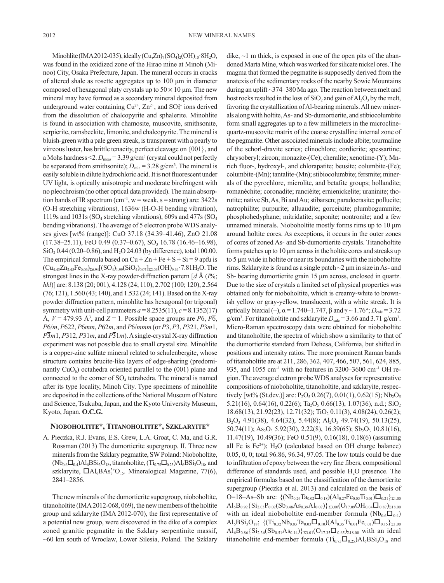Minohlite (IMA 2012-035), ideally  $(Cu,Zn)_{7} (SO_4)_2 (OH)_{10}$  8H<sub>2</sub>O, was found in the oxidized zone of the Hirao mine at Minoh (Minoo) City, Osaka Prefecture, Japan. The mineral occurs in cracks of altered shale as rosette aggregates up to 100 μm in diameter composed of hexagonal platy crystals up to  $50 \times 10$  μm. The new mineral may have formed as a secondary mineral deposited from underground water containing  $Cu^{2+}$ ,  $Zn^{2+}$ , and  $SO_4^{2-}$  ions derived from the dissolution of chalcopyrite and sphalerite. Minohlite is found in association with chamosite, muscovite, smithsonite, serpierite, ramsbeckite, limonite, and chalcopyrite. The mineral is bluish-green with a pale green streak, is transparent with a pearly to vitreous luster, has brittle tenacity, perfect cleavage on {001}, and a Mohs hardness  $\leq 2$ .  $D_{\text{meas}} = 3.39$  g/cm<sup>3</sup> (crystal could not perfectly be separated from smithsonite);  $D_{\text{calc}} = 3.28 \text{ g/cm}^3$ . The mineral is easily soluble in dilute hydrochloric acid. It is not fluorescent under UV light, is optically anisotropic and moderate birefringent with no pleochroism (no other optical data provided). The main absorption bands of IR spectrum (cm<sup>-1</sup>, w = weak, s = strong) are:  $3422s$ (O-H stretching vibrations), 1636w (H-O-H bending vibration), 1119s and 1031s (SO<sub>4</sub> stretching vibrations), 609s and 477s (SO<sub>4</sub> bending vibrations). The average of 5 electron probe WDS analyses gives [wt% (range)]: CuO 37.18 (34.39–41.46), ZnO 21.08  $(17.38-25.11)$ , FeO 0.49  $(0.37-0.67)$ , SO<sub>3</sub> 16.78  $(16.46-16.98)$ ,  $SiO<sub>2</sub> 0.44 (0.20–0.86)$ , and H<sub>2</sub>O 24.03 (by difference), total 100.00. The empirical formula based on  $Cu + Zn + Fe + S + Si = 9$  apfu is  $(Cu_{4.43}Zn_{2.45}Fe_{0.06})_{26.94}[(SO_4)_{1.99}(SiO_4)_{0.07}]_{22.06}(OH)_{9.64}\cdot7.81H_2O$ . The strongest lines in the X-ray powder-diffraction pattern [*d* Å (*I*%; *hkl*)] are: 8.138 (20; 001), 4.128 (24; 110), 2.702 (100; 120), 2.564 (76; 121), 1.560 (43; 140), and 1.532 (24; 141). Based on the X-ray powder diffraction pattern, minohlite has hexagonal (or trigonal) symmetry with unit-cell parameters  $a = 8.2535(11)$ ,  $c = 8.1352(17)$ Å,  $V = 479.93$  Å<sup>3</sup>, and  $Z = 1$ . Possible space groups are P6,  $P\overline{6}$ , *P*6/*m*, *P*622, *P*6*mm*, *P*62*m*, and *P*6/*mmm* (or *P*3, *P*3, *P*321, *P*3*m*1,  $P\overline{3}m1, P312, P31m,$  and  $P\overline{3}1m$ ). A single-crystal X-ray diffraction experiment was not possible due to small crystal size. Minohlite is a copper-zinc sulfate mineral related to schulenbergite, whose structure contains brucite-like layers of edge-sharing (predominantly  $CuO<sub>6</sub>$ ) octahedra oriented parallel to the (001) plane and connected to the corner of  $SO_4$  tetrahedra. The mineral is named after its type locality, Minoh City. Type specimens of minohlite are deposited in the collections of the National Museum of Nature and Science, Tsukuba, Japan, and the Kyoto University Museum, Kyoto, Japan. **O.C.G.** 

### **Nioboholtite\*, Titanoholtite\*, Szklaryite\***

A. Pieczka, R.J. Evans, E.S. Grew, L.A. Groat, C. Ma, and G.R. Rossman (2013) The dumortierite supergroup. II. Three new minerals from the Szklary pegmatite, SW Poland: Nioboholtite,  $(Nb_{0.6}\Box_{0.4})$ Al<sub>6</sub>BSi<sub>3</sub>O<sub>18</sub>, titanoholtite,  $(Ti_{0.75}\Box_{0.25})$ Al<sub>6</sub>BSi<sub>3</sub>O<sub>18</sub>, and szklaryite,  $\Box$ Al<sub>6</sub>BAs<sup>3+</sup>O<sub>15</sub>. Mineralogical Magazine, 77(6), 2841–2856.

The new minerals of the dumortierite supergroup, nioboholtite, titanoholtite (IMA 2012-068, 069), the new members of the holtite group and szklaryite (IMA 2012-070), the first representative of a potential new group, were discovered in the dike of a complex zoned granitic pegmatite in the Szklary serpentinite massif, ~60 km south of Wroclaw, Lower Silesia, Poland. The Szklary

dike,  $\sim$ 1 m thick, is exposed in one of the open pits of the abandoned Marta Mine, which was worked for silicate nickel ores. The magma that formed the pegmatite is supposedly derived from the anatexis of the sedimentary rocks of the nearby Sowie Mountains during an uplift ~374–380 Ma ago. The reaction between melt and host rocks resulted in the loss of  $SiO<sub>2</sub>$  and gain of  $Al<sub>2</sub>O<sub>3</sub>$  by the melt, favoring the crystallization of Al-bearing minerals. All new minerals along with holtite, As- and Sb-dumortierite, and stibiocolumbite form small aggregates up to a few millimeters in the microclinequartz-muscovite matrix of the coarse crystalline internal zone of the pegmatite. Other associated minerals include albite; tourmaline of the schorl-dravite series; clinochlore; cordierite; spessartine; chrysoberyl; zircon; monazite-(Ce); cheralite; xenotime-(Y); Mnrich fluor-, hydroxyl-, and chlorapatite; beusite; columbite-(Fe); columbite-(Mn); tantalite-(Mn); stibiocolumbite; fersmite; minerals of the pyrochlore, microlite, and betafite groups; hollandite; romanèchite; coronadite; ranciéite; ernienickelite; uraninite; thorutite; native Sb, As, Bi and Au; stibarsen; paradocrasite; pollucite; natrophilite; purpurite; alluaudite; gorceixite; plumbogummite; phosphohedyphane; mitridatite; saponite; nontronite; and a few unnamed minerals. Nioboholtite mostly forms rims up to 10 μm around holtite cores. As exceptions, it occurs in the outer zones of cores of zoned As- and Sb-dumortierite crystals. Titanoholtite forms patches up to 10 μm across in the holtite cores and streaks up to 5 μm wide in holtite or near its boundaries with the nioboholtite rims. Szklaryite is found as a single patch  $\sim$ 2  $\mu$ m in size in As- and Sb- bearing dumortierite grain 15 μm across, enclosed in quartz. Due to the size of crystals a limited set of physical properties was obtained only for nioboholtite, which is creamy-white to brownish yellow or gray-yellow, translucent, with a white streak. It is optically biaxial (–),  $\alpha$  = 1.740–1.747, β and  $\gamma$  ~ 1.76°;  $D_{\text{calc}}$  = 3.72  $g/cm<sup>3</sup>$ . For titanoholtite and szklaryite  $D_{calc} = 3.66$  and 3.71  $g/cm<sup>3</sup>$ . Micro-Raman spectroscopy data were obtained for nioboholtite and titanoholtite, the spectra of which show a similarity to that of the dumortierite standard from Dehesa, California, but shifted in positions and intensity ratios. The more prominent Raman bands of titanoholtite are at 211, 286, 362, 407, 466, 507, 561, 624, 885, 935, and 1055 cm<sup>-1</sup> with no features in 3200–3600 cm<sup>-1</sup> OH region. The average electron probe WDS analyses for representative compositions of nioboholtite, titanoholtite, and szklaryite, respectively [wt% (St.dev.)] are:  $P_2O_5$  0.26(7), 0.01(1), 0.62(15); Nb<sub>2</sub>O<sub>5</sub> 5.21(16), 0.64(16), 0.22(6); Ta<sub>2</sub>O<sub>5</sub> 0.66(13), 1.07(36), n.d.; SiO<sub>2</sub> 18.68(13), 21.92(23), 12.71(32); TiO<sub>2</sub> 0.11(3), 4.08(24), 0.26(2);  $B_2O_3$  4.91(38), 4.64(32), 5.44(8); Al<sub>2</sub>O<sub>3</sub> 49.74(19), 50.13(25),  $50.74(11)$ ; As<sub>2</sub>O<sub>3</sub> 5.92(30), 2.22(8), 16.39(65); Sb<sub>2</sub>O<sub>3</sub> 10.81(16), 11.47(19), 10.49(36); FeO 0.51(9), 0.16(18), 0.18(6) (assuming all Fe is Fe<sup>2+</sup>); H<sub>2</sub>O (calculated based on OH charge balance) 0.05, 0, 0; total 96.86, 96.34, 97.05. The low totals could be due to infiltration of epoxy between the very fine fibers, compositional difference of standards used, and possible  $H_2O$  presence. The empirical formulas based on the classification of the dumortierite supergroup (Pieczka et al. 2013) and calculated on the basis of O=18–As–Sb are:  $\{(\text{Nb}_{0.26}\text{Ta}_{0.02}\square_{0.18})(\text{Al}_{0.27}\text{Fe}_{0.05}\text{Ti}_{0.01})\square_{0.21}\}_{\Sigma1.00}$  $\mathrm{Al}_{6}\mathrm{B}_{0.92}\{\mathrm{Si}_{2.03}\mathrm{P}_{0.02}(\mathrm{Sb}_{0.48}\mathrm{As}_{0.39}\mathrm{Al}_{0.07})\}_{\Sigma3.00}(\mathrm{O}_{17.09}\mathrm{OH}_{0.04}\square_{0.87})_{\Sigma18.00}$ with an ideal nioboholtite end-member formula ( $Nb_{0.6}\square_{0.4}$ )  $\text{Al}_6\text{BSi}_3\text{O}_{18}$ ; { $\text{(Ti}_{0.32}\text{Nb}_{0.03}\text{Ta}_{0.03}\square_{0.10})(\text{Al}_{0.35}\text{Ti}_{0.01}\text{Fe}_{0.01})\square_{0.15}\}_{\Sigma1.00}$  $\text{Al}_6\text{B}_{0.86}\{\text{Si}_{2.36}(\text{Sb}_{0.51}\text{As}_{0.14})\}_{\Sigma_{3.01}}(\text{O}_{17.35}\square_{0.65})_{\Sigma_{18.00}}$  with an ideal titanoholtite end-member formula  $(Ti_{0.75}\Box_{0.25})A1_6BSi_3O_{18}$  and